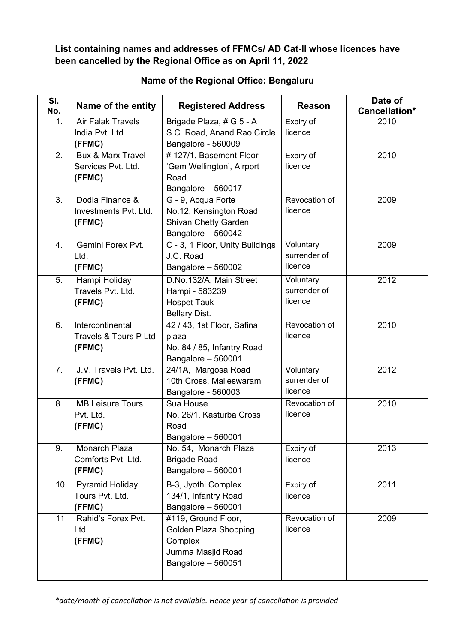**List containing names and addresses of FFMCs/ AD Cat-II whose licences have been cancelled by the Regional Office as on April 11, 2022** 

| SI.<br>No.       | Name of the entity                                           | <b>Registered Address</b>                                                                          | <b>Reason</b>                        | Date of<br>Cancellation* |
|------------------|--------------------------------------------------------------|----------------------------------------------------------------------------------------------------|--------------------------------------|--------------------------|
| 1.               | <b>Air Falak Travels</b><br>India Pvt. Ltd.<br>(FFMC)        | Brigade Plaza, # G 5 - A<br>S.C. Road, Anand Rao Circle<br>Bangalore - 560009                      | Expiry of<br>licence                 | 2010                     |
| 2.               | <b>Bux &amp; Marx Travel</b><br>Services Pvt. Ltd.<br>(FFMC) | #127/1, Basement Floor<br>'Gem Wellington', Airport<br>Road<br>Bangalore - 560017                  | Expiry of<br>licence                 | 2010                     |
| $\overline{3}$ . | Dodla Finance &<br>Investments Pvt. Ltd.<br>(FFMC)           | G - 9, Acqua Forte<br>No.12, Kensington Road<br><b>Shivan Chetty Garden</b><br>Bangalore - 560042  | Revocation of<br>licence             | 2009                     |
| 4.               | Gemini Forex Pvt.<br>Ltd.<br>(FFMC)                          | C - 3, 1 Floor, Unity Buildings<br>J.C. Road<br>Bangalore - 560002                                 | Voluntary<br>surrender of<br>licence | 2009                     |
| 5.               | Hampi Holiday<br>Travels Pvt. Ltd.<br>(FFMC)                 | D.No.132/A, Main Street<br>Hampi - 583239<br><b>Hospet Tauk</b><br><b>Bellary Dist.</b>            | Voluntary<br>surrender of<br>licence | 2012                     |
| 6.               | Intercontinental<br>Travels & Tours P Ltd<br>(FFMC)          | 42 / 43, 1st Floor, Safina<br>plaza<br>No. 84 / 85, Infantry Road<br>Bangalore - 560001            | Revocation of<br>licence             | 2010                     |
| 7.               | J.V. Travels Pvt. Ltd.<br>(FFMC)                             | 24/1A, Margosa Road<br>10th Cross, Malleswaram<br>Bangalore - 560003                               | Voluntary<br>surrender of<br>licence | 2012                     |
| 8.               | <b>MB Leisure Tours</b><br>Pvt. Ltd.<br>(FFMC)               | Sua House<br>No. 26/1, Kasturba Cross<br>Road<br>Bangalore - 560001                                | Revocation of<br>licence             | 2010                     |
| 9.               | Monarch Plaza<br>Comforts Pvt. Ltd.<br>(FFMC)                | No. 54, Monarch Plaza<br><b>Brigade Road</b><br>Bangalore - 560001                                 | Expiry of<br>licence                 | 2013                     |
| 10.              | <b>Pyramid Holiday</b><br>Tours Pvt. Ltd.<br>(FFMC)          | B-3, Jyothi Complex<br>134/1, Infantry Road<br>Bangalore - 560001                                  | Expiry of<br>licence                 | 2011                     |
| 11.              | Rahid's Forex Pvt.<br>Ltd.<br>(FFMC)                         | #119, Ground Floor,<br>Golden Plaza Shopping<br>Complex<br>Jumma Masjid Road<br>Bangalore - 560051 | Revocation of<br>licence             | 2009                     |

## **Name of the Regional Office: Bengaluru**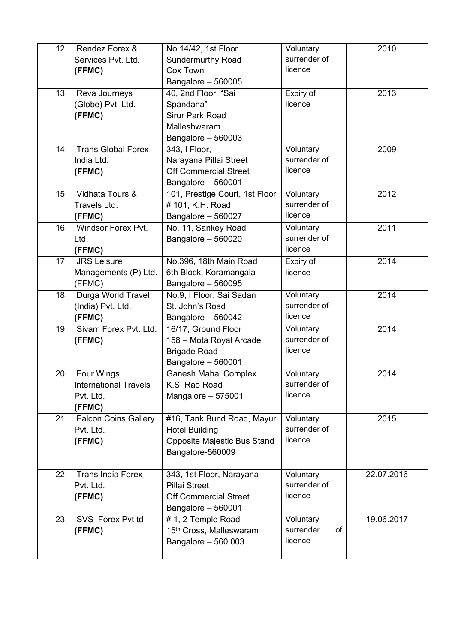| 12. | Rendez Forex &               | No.14/42, 1st Floor            | Voluntary       | 2010       |
|-----|------------------------------|--------------------------------|-----------------|------------|
|     | Services Pvt. Ltd.           | <b>Sundermurthy Road</b>       | surrender of    |            |
|     | (FFMC)                       | Cox Town                       | licence         |            |
|     |                              | Bangalore - 560005             |                 |            |
| 13. | Reva Journeys                | 40, 2nd Floor, "Sai            | Expiry of       | 2013       |
|     | (Globe) Pvt. Ltd.            | Spandana"                      | licence         |            |
|     | (FFMC)                       | <b>Sirur Park Road</b>         |                 |            |
|     |                              | Malleshwaram                   |                 |            |
|     |                              | Bangalore - 560003             |                 |            |
| 14. | <b>Trans Global Forex</b>    | 343, I Floor,                  | Voluntary       | 2009       |
|     | India Ltd.                   | Narayana Pillai Street         | surrender of    |            |
|     | (FFMC)                       | <b>Off Commercial Street</b>   | licence         |            |
|     |                              | Bangalore - 560001             |                 |            |
| 15. | Vidhata Tours &              | 101, Prestige Court, 1st Floor | Voluntary       | 2012       |
|     | Travels Ltd.                 | #101, K.H. Road                | surrender of    |            |
|     | (FFMC)                       | Bangalore - 560027             | licence         |            |
| 16. | Windsor Forex Pvt.           | No. 11, Sankey Road            | Voluntary       | 2011       |
|     | Ltd.                         | Bangalore - 560020             | surrender of    |            |
|     | (FFMC)                       |                                | licence         |            |
| 17. | <b>JRS Leisure</b>           | No.396, 18th Main Road         | Expiry of       | 2014       |
|     | Managements (P) Ltd.         | 6th Block, Koramangala         | licence         |            |
|     | (FFMC)                       | Bangalore - 560095             |                 |            |
| 18. | Durga World Travel           | No.9, I Floor, Sai Sadan       | Voluntary       | 2014       |
|     | (India) Pvt. Ltd.            | St. John's Road                | surrender of    |            |
|     | (FFMC)                       | Bangalore - 560042             | licence         |            |
| 19. | Sivam Forex Pvt. Ltd.        | 16/17, Ground Floor            | Voluntary       | 2014       |
|     | (FFMC)                       | 158 - Mota Royal Arcade        | surrender of    |            |
|     |                              | <b>Brigade Road</b>            | licence         |            |
|     |                              | Bangalore - 560001             |                 |            |
| 20. | Four Wings                   | <b>Ganesh Mahal Complex</b>    | Voluntary       | 2014       |
|     | <b>International Travels</b> | K.S. Rao Road                  | surrender of    |            |
|     | Pvt. Ltd.                    | Mangalore - 575001             | licence         |            |
|     | (FFMC)                       |                                |                 |            |
| 21. | <b>Falcon Coins Gallery</b>  | #16, Tank Bund Road, Mayur     | Voluntary       | 2015       |
|     | Pvt. Ltd.                    | <b>Hotel Building</b>          | surrender of    |            |
|     | (FFMC)                       | Opposite Majestic Bus Stand    | licence         |            |
|     |                              | Bangalore-560009               |                 |            |
|     |                              |                                |                 |            |
| 22. | <b>Trans India Forex</b>     | 343, 1st Floor, Narayana       | Voluntary       | 22.07.2016 |
|     | Pvt. Ltd.                    | Pillai Street                  | surrender of    |            |
|     | (FFMC)                       | <b>Off Commercial Street</b>   | licence         |            |
|     |                              | Bangalore - 560001             |                 |            |
| 23. | SVS Forex Pvt td             | #1, 2 Temple Road              | Voluntary       | 19.06.2017 |
|     | (FFMC)                       | 15th Cross, Malleswaram        | surrender<br>of |            |
|     |                              | Bangalore - 560 003            | licence         |            |
|     |                              |                                |                 |            |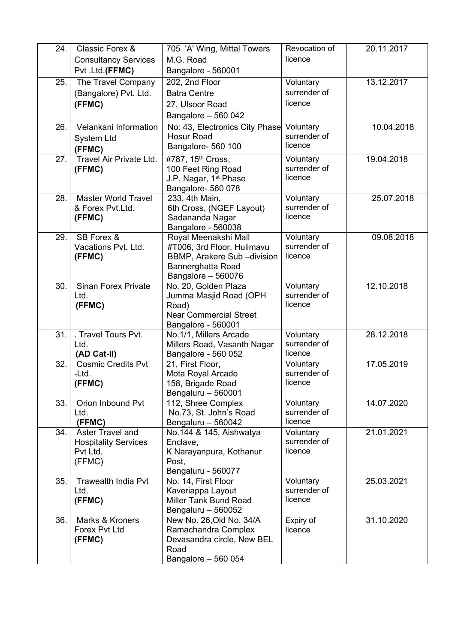| 24. | Classic Forex &                  | 705 'A' Wing, Mittal Towers                     | Revocation of             | 20.11.2017 |
|-----|----------------------------------|-------------------------------------------------|---------------------------|------------|
|     | <b>Consultancy Services</b>      | M.G. Road                                       | licence                   |            |
|     | Pvt .Ltd.(FFMC)                  | Bangalore - 560001                              |                           |            |
| 25. | The Travel Company               | 202, 2nd Floor                                  | Voluntary                 | 13.12.2017 |
|     | (Bangalore) Pvt. Ltd.            | <b>Batra Centre</b>                             | surrender of              |            |
|     | (FFMC)                           | 27, Ulsoor Road                                 | licence                   |            |
|     |                                  | Bangalore - 560 042                             |                           |            |
| 26. | Velankani Information            | No: 43, Electronics City Phase                  | Voluntary                 | 10.04.2018 |
|     | <b>System Ltd</b>                | <b>Hosur Road</b>                               | surrender of              |            |
|     | (FFMC)                           | Bangalore- 560 100                              | licence                   |            |
| 27. | Travel Air Private Ltd.          | #787, 15 <sup>th</sup> Cross,                   | Voluntary                 | 19.04.2018 |
|     | (FFMC)                           | 100 Feet Ring Road                              | surrender of              |            |
|     |                                  | J.P. Nagar, 1 <sup>st</sup> Phase               | licence                   |            |
|     |                                  | Bangalore- 560 078                              |                           |            |
| 28. | <b>Master World Travel</b>       | 233, 4th Main,                                  | Voluntary                 | 25.07.2018 |
|     | & Forex Pvt.Ltd.                 | 6th Cross, (NGEF Layout)                        | surrender of<br>licence   |            |
|     | (FFMC)                           | Sadananda Nagar<br>Bangalore - 560038           |                           |            |
| 29. | SB Forex &                       | Royal Meenakshi Mall                            | Voluntary                 | 09.08.2018 |
|     | Vacations Pvt. Ltd.              | #T006, 3rd Floor, Hulimavu                      | surrender of              |            |
|     | (FFMC)                           | <b>BBMP, Arakere Sub-division</b>               | licence                   |            |
|     |                                  | Bannerghatta Road                               |                           |            |
|     |                                  | Bangalore - 560076                              |                           |            |
| 30. | <b>Sinan Forex Private</b>       | No. 20, Golden Plaza                            | Voluntary                 | 12.10.2018 |
|     | Ltd.                             | Jumma Masjid Road (OPH                          | surrender of              |            |
|     | (FFMC)                           | Road)                                           | licence                   |            |
|     |                                  | <b>Near Commercial Street</b>                   |                           |            |
| 31. | . Travel Tours Pvt.              | Bangalore - 560001<br>No.1/1, Millers Arcade    | Voluntary                 | 28.12.2018 |
|     | Ltd.                             | Millers Road, Vasanth Nagar                     | surrender of              |            |
|     | (AD Cat-II)                      | Bangalore - 560 052                             | licence                   |            |
| 32. | <b>Cosmic Credits Pvt</b>        | 21, First Floor,                                | Voluntary                 | 17.05.2019 |
|     | -Ltd.                            | Mota Royal Arcade                               | surrender of              |            |
|     | (FFMC)                           | 158, Brigade Road                               | licence                   |            |
|     |                                  | Bengaluru - 560001                              |                           |            |
| 33. | Orion Inbound Pvt                | 112, Shree Complex                              | Voluntary<br>surrender of | 14.07.2020 |
|     | Ltd.<br>(FFMC)                   | No.73, St. John's Road                          | licence                   |            |
| 34. | Aster Travel and                 | Bengaluru - 560042<br>No.144 & 145, Aishwatya   | Voluntary                 | 21.01.2021 |
|     | <b>Hospitality Services</b>      | Enclave,                                        | surrender of              |            |
|     | Pvt Ltd.                         | K Narayanpura, Kothanur                         | licence                   |            |
|     | (FFMC)                           | Post,                                           |                           |            |
|     |                                  | Bengaluru - 560077                              |                           |            |
| 35. | Trawealth India Pvt              | No. 14, First Floor                             | Voluntary                 | 25.03.2021 |
|     | Ltd.                             | Kaveriappa Layout                               | surrender of              |            |
|     | (FFMC)                           | Miller Tank Bund Road                           | licence                   |            |
|     |                                  | Bengaluru - 560052                              |                           |            |
| 36. | Marks & Kroners<br>Forex Pvt Ltd | New No. 26, Old No. 34/A<br>Ramachandra Complex | Expiry of<br>licence      | 31.10.2020 |
|     | (FFMC)                           | Devasandra circle, New BEL                      |                           |            |
|     |                                  | Road                                            |                           |            |
|     |                                  | Bangalore - 560 054                             |                           |            |
|     |                                  |                                                 |                           |            |